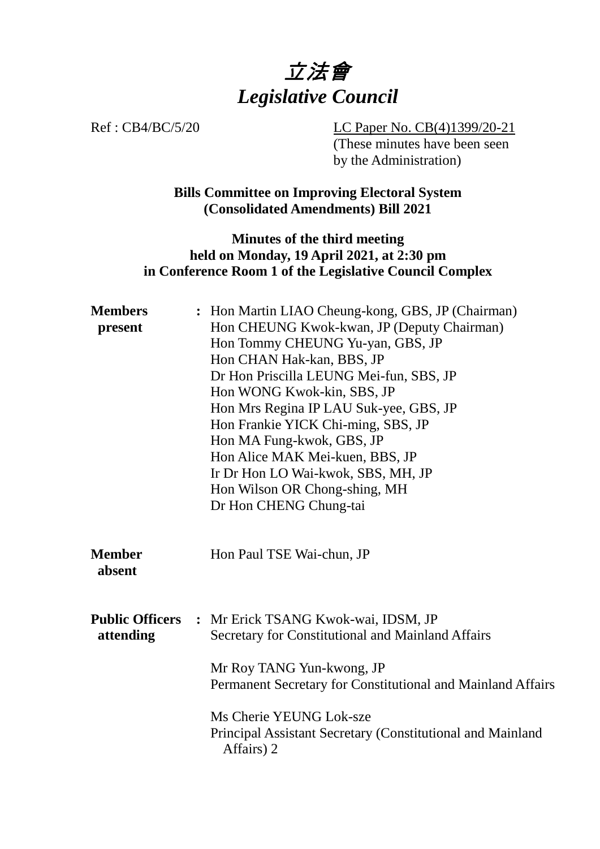

Ref : CB4/BC/5/20 LC Paper No. CB(4)1399/20-21 (These minutes have been seen by the Administration)

> **Bills Committee on Improving Electoral System (Consolidated Amendments) Bill 2021**

### **Minutes of the third meeting held on Monday, 19 April 2021, at 2:30 pm in Conference Room 1 of the Legislative Council Complex**

| <b>Members</b><br>present           | : Hon Martin LIAO Cheung-kong, GBS, JP (Chairman)<br>Hon CHEUNG Kwok-kwan, JP (Deputy Chairman)<br>Hon Tommy CHEUNG Yu-yan, GBS, JP<br>Hon CHAN Hak-kan, BBS, JP<br>Dr Hon Priscilla LEUNG Mei-fun, SBS, JP<br>Hon WONG Kwok-kin, SBS, JP<br>Hon Mrs Regina IP LAU Suk-yee, GBS, JP<br>Hon Frankie YICK Chi-ming, SBS, JP<br>Hon MA Fung-kwok, GBS, JP<br>Hon Alice MAK Mei-kuen, BBS, JP<br>Ir Dr Hon LO Wai-kwok, SBS, MH, JP<br>Hon Wilson OR Chong-shing, MH<br>Dr Hon CHENG Chung-tai |
|-------------------------------------|--------------------------------------------------------------------------------------------------------------------------------------------------------------------------------------------------------------------------------------------------------------------------------------------------------------------------------------------------------------------------------------------------------------------------------------------------------------------------------------------|
| <b>Member</b><br>absent             | Hon Paul TSE Wai-chun, JP                                                                                                                                                                                                                                                                                                                                                                                                                                                                  |
| <b>Public Officers</b><br>attending | : Mr Erick TSANG Kwok-wai, IDSM, JP<br>Secretary for Constitutional and Mainland Affairs<br>Mr Roy TANG Yun-kwong, JP<br>Permanent Secretary for Constitutional and Mainland Affairs                                                                                                                                                                                                                                                                                                       |
|                                     | Ms Cherie YEUNG Lok-sze<br>Principal Assistant Secretary (Constitutional and Mainland<br>Affairs) 2                                                                                                                                                                                                                                                                                                                                                                                        |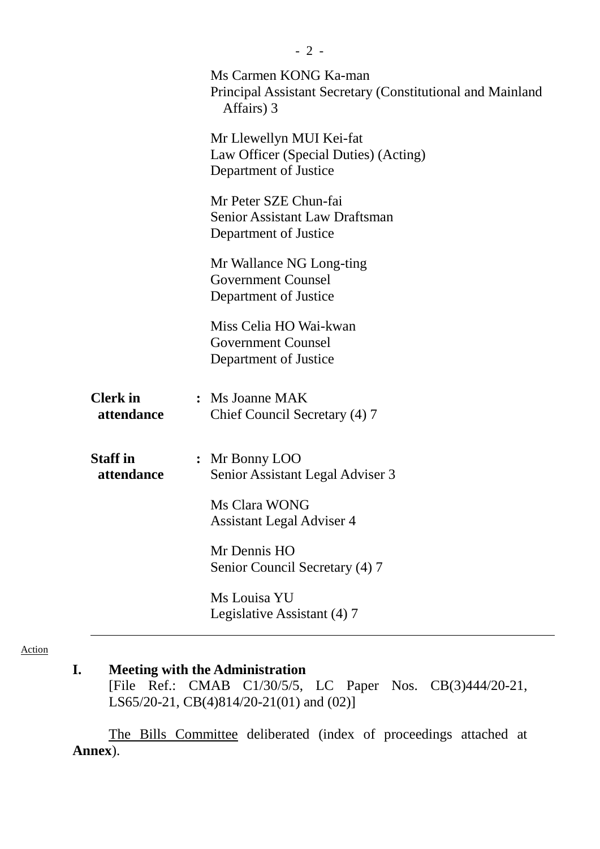|                               | Ms Carmen KONG Ka-man<br>Principal Assistant Secretary (Constitutional and Mainland<br>Affairs) 3 |
|-------------------------------|---------------------------------------------------------------------------------------------------|
|                               | Mr Llewellyn MUI Kei-fat<br>Law Officer (Special Duties) (Acting)<br>Department of Justice        |
|                               | Mr Peter SZE Chun-fai<br><b>Senior Assistant Law Draftsman</b><br>Department of Justice           |
|                               | Mr Wallance NG Long-ting<br><b>Government Counsel</b><br>Department of Justice                    |
|                               | Miss Celia HO Wai-kwan<br><b>Government Counsel</b><br>Department of Justice                      |
| <b>Clerk</b> in<br>attendance | : Ms Joanne MAK<br>Chief Council Secretary (4) 7                                                  |
| <b>Staff</b> in<br>attendance | : Mr Bonny LOO<br>Senior Assistant Legal Adviser 3                                                |
|                               | Ms Clara WONG<br><b>Assistant Legal Adviser 4</b>                                                 |
|                               | Mr Dennis HO<br>Senior Council Secretary (4) 7                                                    |
|                               | Ms Louisa YU<br>Legislative Assistant (4) 7                                                       |

Action

# **I. Meeting with the Administration**

[File Ref.: CMAB C1/30/5/5, LC Paper Nos. CB(3)444/20-21, LS65/20-21, CB(4)814/20-21(01) and (02)]

The Bills Committee deliberated (index of proceedings attached at **Annex**).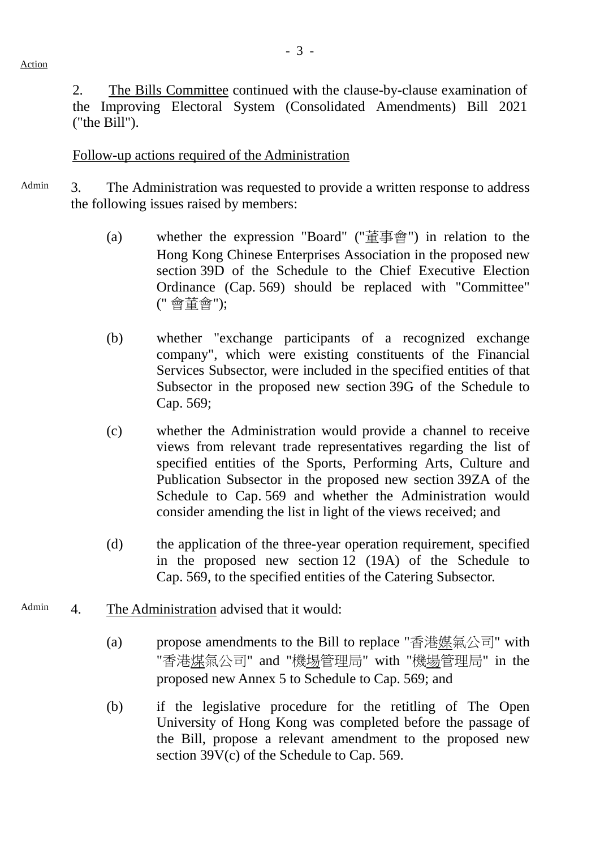2. The Bills Committee continued with the clause-by-clause examination of the Improving Electoral System (Consolidated Amendments) Bill 2021 ("the Bill").

#### Follow-up actions required of the Administration

- Admin 3. The Administration was requested to provide a written response to address the following issues raised by members:
	- (a) whether the expression "Board" ("董事會") in relation to the Hong Kong Chinese Enterprises Association in the proposed new section 39D of the Schedule to the Chief Executive Election Ordinance (Cap. 569) should be replaced with "Committee" (" 會董會");
	- (b) whether "exchange participants of a recognized exchange company", which were existing constituents of the Financial Services Subsector, were included in the specified entities of that Subsector in the proposed new section 39G of the Schedule to Cap. 569;
	- (c) whether the Administration would provide a channel to receive views from relevant trade representatives regarding the list of specified entities of the Sports, Performing Arts, Culture and Publication Subsector in the proposed new section 39ZA of the Schedule to Cap. 569 and whether the Administration would consider amending the list in light of the views received; and
	- (d) the application of the three-year operation requirement, specified in the proposed new section 12 (19A) of the Schedule to Cap. 569, to the specified entities of the Catering Subsector.
- Admin 4. The Administration advised that it would:
	- (a) propose amendments to the Bill to replace "香港媒氣公司" with "香港煤氣公司" and "機埸管理局" with "機場管理局" in the proposed new Annex 5 to Schedule to Cap. 569; and
	- (b) if the legislative procedure for the retitling of The Open University of Hong Kong was completed before the passage of the Bill, propose a relevant amendment to the proposed new section 39V(c) of the Schedule to Cap. 569.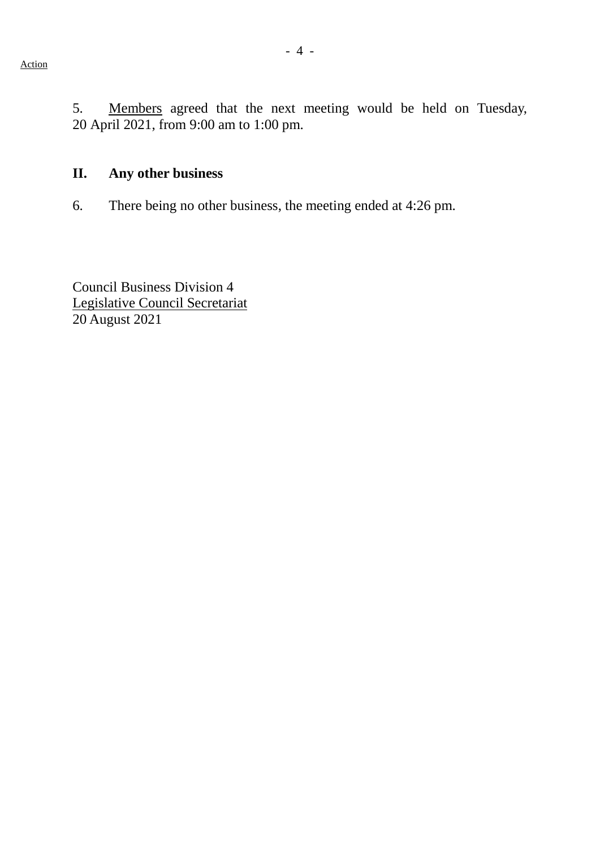5. Members agreed that the next meeting would be held on Tuesday, 20 April 2021, from 9:00 am to 1:00 pm.

# **II. Any other business**

6. There being no other business, the meeting ended at 4:26 pm.

Council Business Division 4 Legislative Council Secretariat 20 August 2021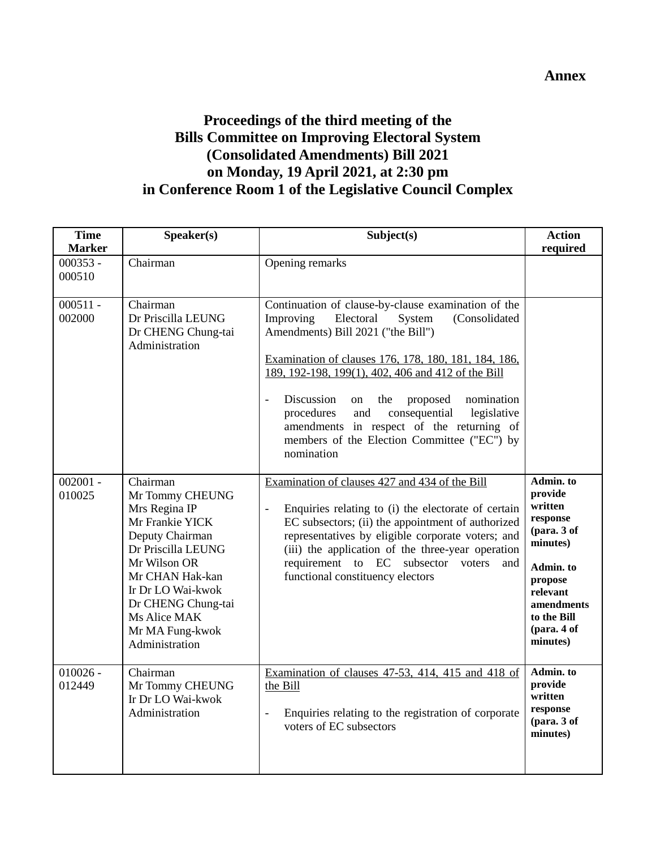### **Annex**

# **Proceedings of the third meeting of the Bills Committee on Improving Electoral System (Consolidated Amendments) Bill 2021 on Monday, 19 April 2021, at 2:30 pm in Conference Room 1 of the Legislative Council Complex**

| <b>Time</b><br><b>Marker</b> | Speaker(s)                                                                                                                                                                                                                                  | Subject(s)                                                                                                                                                                                                                                                                                                                                                                                                                                                                                         | <b>Action</b><br>required                                                                                                                                          |
|------------------------------|---------------------------------------------------------------------------------------------------------------------------------------------------------------------------------------------------------------------------------------------|----------------------------------------------------------------------------------------------------------------------------------------------------------------------------------------------------------------------------------------------------------------------------------------------------------------------------------------------------------------------------------------------------------------------------------------------------------------------------------------------------|--------------------------------------------------------------------------------------------------------------------------------------------------------------------|
| $000353 -$<br>000510         | Chairman                                                                                                                                                                                                                                    | Opening remarks                                                                                                                                                                                                                                                                                                                                                                                                                                                                                    |                                                                                                                                                                    |
| $000511 -$<br>002000         | Chairman<br>Dr Priscilla LEUNG<br>Dr CHENG Chung-tai<br>Administration                                                                                                                                                                      | Continuation of clause-by-clause examination of the<br>Improving<br>Electoral<br>(Consolidated<br>System<br>Amendments) Bill 2021 ("the Bill")<br>Examination of clauses 176, 178, 180, 181, 184, 186,<br>189, 192-198, 199(1), 402, 406 and 412 of the Bill<br>Discussion<br>the<br>proposed<br>nomination<br>on<br>$\overline{a}$<br>and<br>consequential<br>procedures<br>legislative<br>amendments in respect of the returning of<br>members of the Election Committee ("EC") by<br>nomination |                                                                                                                                                                    |
| $002001 -$<br>010025         | Chairman<br>Mr Tommy CHEUNG<br>Mrs Regina IP<br>Mr Frankie YICK<br>Deputy Chairman<br>Dr Priscilla LEUNG<br>Mr Wilson OR<br>Mr CHAN Hak-kan<br>Ir Dr LO Wai-kwok<br>Dr CHENG Chung-tai<br>Ms Alice MAK<br>Mr MA Fung-kwok<br>Administration | Examination of clauses 427 and 434 of the Bill<br>Enquiries relating to (i) the electorate of certain<br>EC subsectors; (ii) the appointment of authorized<br>representatives by eligible corporate voters; and<br>(iii) the application of the three-year operation<br>requirement to EC<br>subsector voters<br>and<br>functional constituency electors                                                                                                                                           | Admin. to<br>provide<br>written<br>response<br>(para. 3 of<br>minutes)<br>Admin. to<br>propose<br>relevant<br>amendments<br>to the Bill<br>(para. 4 of<br>minutes) |
| $010026 -$<br>012449         | Chairman<br>Mr Tommy CHEUNG<br>Ir Dr LO Wai-kwok<br>Administration                                                                                                                                                                          | Examination of clauses 47-53, 414, 415 and 418 of<br>the Bill<br>Enquiries relating to the registration of corporate<br>voters of EC subsectors                                                                                                                                                                                                                                                                                                                                                    | Admin. to<br>provide<br>written<br>response<br>(para. 3 of<br>minutes)                                                                                             |